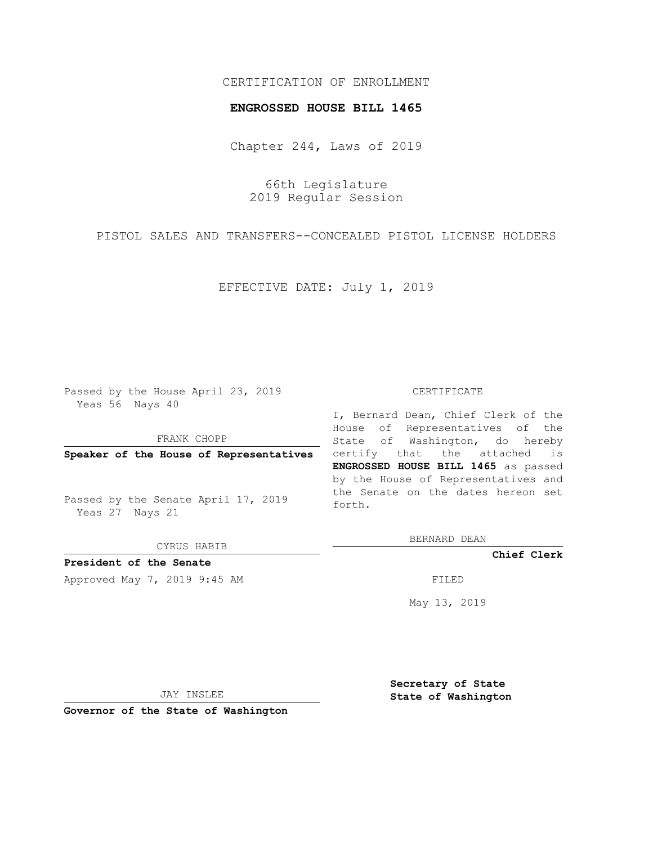## CERTIFICATION OF ENROLLMENT

### **ENGROSSED HOUSE BILL 1465**

Chapter 244, Laws of 2019

66th Legislature 2019 Regular Session

PISTOL SALES AND TRANSFERS--CONCEALED PISTOL LICENSE HOLDERS

EFFECTIVE DATE: July 1, 2019

Passed by the House April 23, 2019 Yeas 56 Nays 40

FRANK CHOPP

**Speaker of the House of Representatives**

Passed by the Senate April 17, 2019 Yeas 27 Nays 21

CYRUS HABIB

## **President of the Senate**

Approved May 7, 2019 9:45 AM FILED

#### CERTIFICATE

I, Bernard Dean, Chief Clerk of the House of Representatives of the State of Washington, do hereby certify that the attached is **ENGROSSED HOUSE BILL 1465** as passed by the House of Representatives and the Senate on the dates hereon set forth.

BERNARD DEAN

**Chief Clerk**

May 13, 2019

JAY INSLEE

**Governor of the State of Washington**

**Secretary of State State of Washington**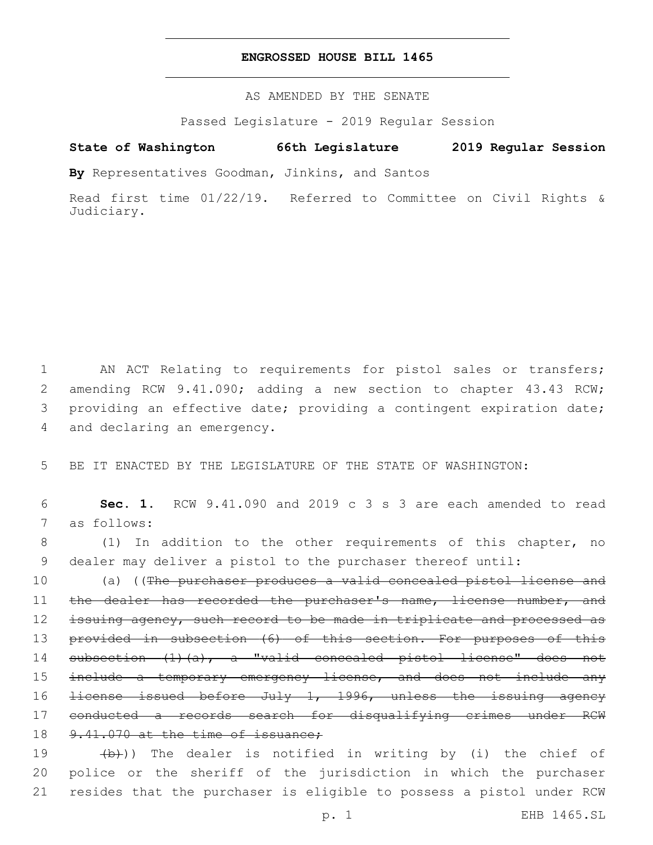### **ENGROSSED HOUSE BILL 1465**

AS AMENDED BY THE SENATE

Passed Legislature - 2019 Regular Session

# **State of Washington 66th Legislature 2019 Regular Session**

**By** Representatives Goodman, Jinkins, and Santos

Read first time 01/22/19. Referred to Committee on Civil Rights & Judiciary.

1 AN ACT Relating to requirements for pistol sales or transfers; 2 amending RCW 9.41.090; adding a new section to chapter 43.43 RCW; 3 providing an effective date; providing a contingent expiration date; 4 and declaring an emergency.

5 BE IT ENACTED BY THE LEGISLATURE OF THE STATE OF WASHINGTON:

6 **Sec. 1.** RCW 9.41.090 and 2019 c 3 s 3 are each amended to read 7 as follows:

8 (1) In addition to the other requirements of this chapter, no 9 dealer may deliver a pistol to the purchaser thereof until:

10 (a) ((The purchaser produces a valid concealed pistol license and 11 the dealer has recorded the purchaser's name, license number, and 12 issuing agency, such record to be made in triplicate and processed as 13 provided in subsection (6) of this section. For purposes of this 14 subsection (1)(a), a "valid concealed pistol license" does not 15 include a temporary emergency license, and does not include any 16 <del>license issued before July 1, 1996, unless the issuing agency</del> 17 conducted a records search for disqualifying crimes under RCW 18 9.41.070 at the time of issuance;

19 (b)) The dealer is notified in writing by (i) the chief of 20 police or the sheriff of the jurisdiction in which the purchaser 21 resides that the purchaser is eligible to possess a pistol under RCW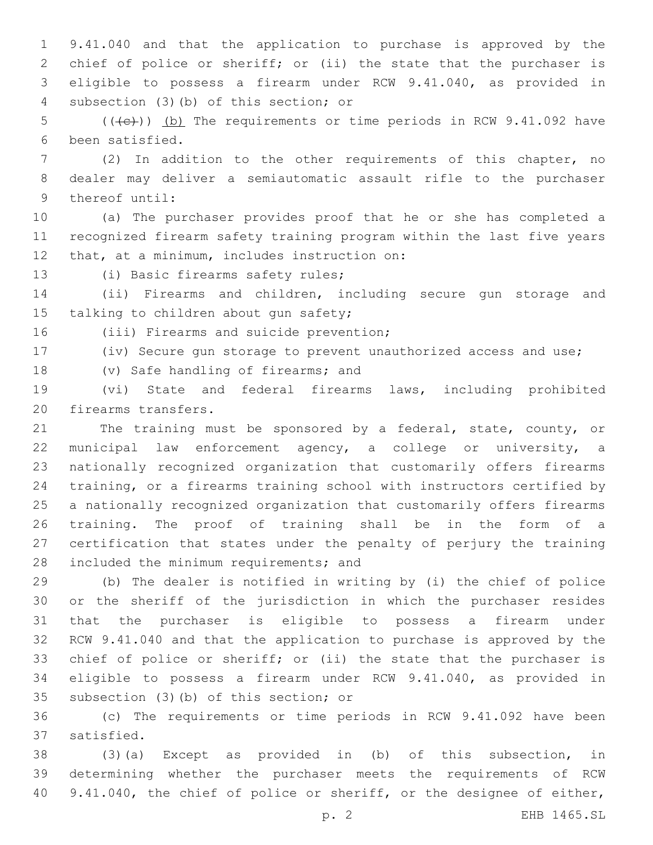9.41.040 and that the application to purchase is approved by the chief of police or sheriff; or (ii) the state that the purchaser is eligible to possess a firearm under RCW 9.41.040, as provided in subsection (3)(b) of this section; or4

5 (((+e))) (b) The requirements or time periods in RCW 9.41.092 have been satisfied.6

 (2) In addition to the other requirements of this chapter, no dealer may deliver a semiautomatic assault rifle to the purchaser 9 thereof until:

 (a) The purchaser provides proof that he or she has completed a recognized firearm safety training program within the last five years 12 that, at a minimum, includes instruction on:

13 (i) Basic firearms safety rules;

 (ii) Firearms and children, including secure gun storage and 15 talking to children about gun safety;

16 (iii) Firearms and suicide prevention;

(iv) Secure gun storage to prevent unauthorized access and use;

18 (v) Safe handling of firearms; and

 (vi) State and federal firearms laws, including prohibited 20 firearms transfers.

21 The training must be sponsored by a federal, state, county, or municipal law enforcement agency, a college or university, a nationally recognized organization that customarily offers firearms training, or a firearms training school with instructors certified by a nationally recognized organization that customarily offers firearms training. The proof of training shall be in the form of a certification that states under the penalty of perjury the training 28 included the minimum requirements; and

 (b) The dealer is notified in writing by (i) the chief of police or the sheriff of the jurisdiction in which the purchaser resides that the purchaser is eligible to possess a firearm under RCW 9.41.040 and that the application to purchase is approved by the chief of police or sheriff; or (ii) the state that the purchaser is eligible to possess a firearm under RCW 9.41.040, as provided in 35 subsection (3)(b) of this section; or

 (c) The requirements or time periods in RCW 9.41.092 have been 37 satisfied.

 (3)(a) Except as provided in (b) of this subsection, in determining whether the purchaser meets the requirements of RCW 40 9.41.040, the chief of police or sheriff, or the designee of either,

p. 2 EHB 1465.SL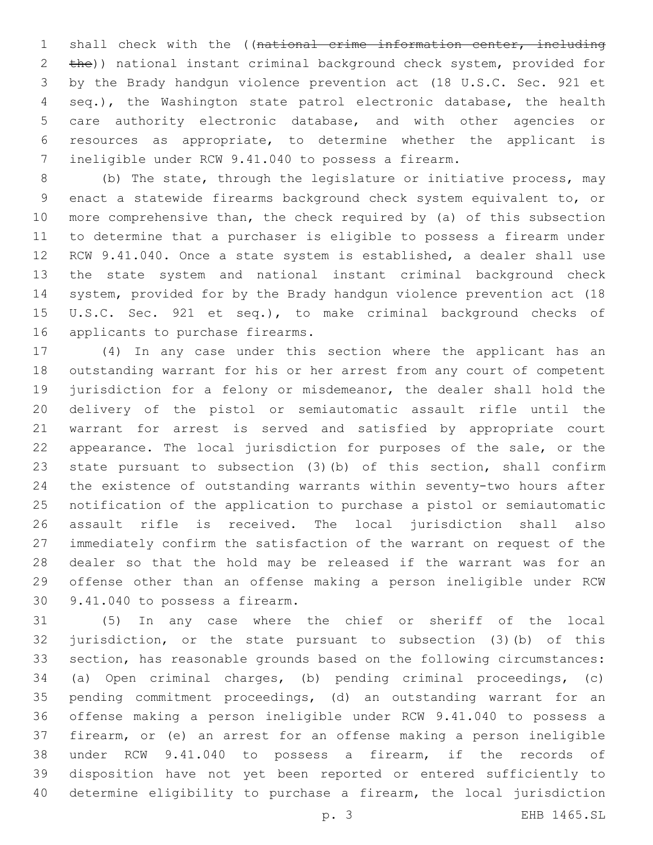1 shall check with the ((national crime information center, including 2 the)) national instant criminal background check system, provided for by the Brady handgun violence prevention act (18 U.S.C. Sec. 921 et seq.), the Washington state patrol electronic database, the health care authority electronic database, and with other agencies or resources as appropriate, to determine whether the applicant is ineligible under RCW 9.41.040 to possess a firearm.

 (b) The state, through the legislature or initiative process, may enact a statewide firearms background check system equivalent to, or more comprehensive than, the check required by (a) of this subsection to determine that a purchaser is eligible to possess a firearm under RCW 9.41.040. Once a state system is established, a dealer shall use the state system and national instant criminal background check system, provided for by the Brady handgun violence prevention act (18 U.S.C. Sec. 921 et seq.), to make criminal background checks of 16 applicants to purchase firearms.

 (4) In any case under this section where the applicant has an outstanding warrant for his or her arrest from any court of competent jurisdiction for a felony or misdemeanor, the dealer shall hold the delivery of the pistol or semiautomatic assault rifle until the warrant for arrest is served and satisfied by appropriate court appearance. The local jurisdiction for purposes of the sale, or the state pursuant to subsection (3)(b) of this section, shall confirm the existence of outstanding warrants within seventy-two hours after notification of the application to purchase a pistol or semiautomatic assault rifle is received. The local jurisdiction shall also immediately confirm the satisfaction of the warrant on request of the dealer so that the hold may be released if the warrant was for an offense other than an offense making a person ineligible under RCW 30 9.41.040 to possess a firearm.

 (5) In any case where the chief or sheriff of the local jurisdiction, or the state pursuant to subsection (3)(b) of this section, has reasonable grounds based on the following circumstances: (a) Open criminal charges, (b) pending criminal proceedings, (c) pending commitment proceedings, (d) an outstanding warrant for an offense making a person ineligible under RCW 9.41.040 to possess a firearm, or (e) an arrest for an offense making a person ineligible under RCW 9.41.040 to possess a firearm, if the records of disposition have not yet been reported or entered sufficiently to determine eligibility to purchase a firearm, the local jurisdiction

p. 3 EHB 1465.SL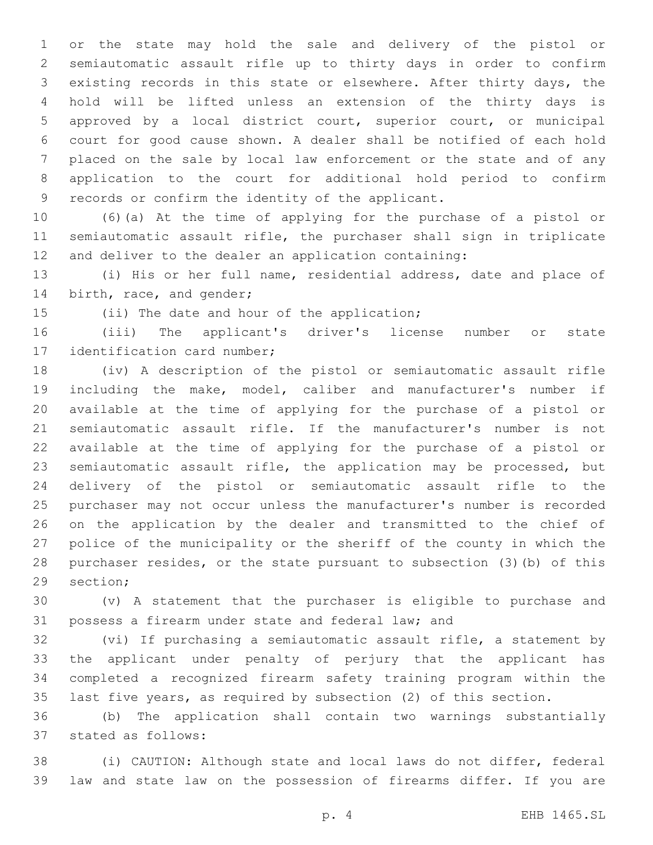or the state may hold the sale and delivery of the pistol or semiautomatic assault rifle up to thirty days in order to confirm existing records in this state or elsewhere. After thirty days, the hold will be lifted unless an extension of the thirty days is approved by a local district court, superior court, or municipal court for good cause shown. A dealer shall be notified of each hold placed on the sale by local law enforcement or the state and of any application to the court for additional hold period to confirm 9 records or confirm the identity of the applicant.

 (6)(a) At the time of applying for the purchase of a pistol or semiautomatic assault rifle, the purchaser shall sign in triplicate and deliver to the dealer an application containing:

 (i) His or her full name, residential address, date and place of 14 birth, race, and gender;

15 (ii) The date and hour of the application;

 (iii) The applicant's driver's license number or state 17 identification card number;

 (iv) A description of the pistol or semiautomatic assault rifle including the make, model, caliber and manufacturer's number if available at the time of applying for the purchase of a pistol or semiautomatic assault rifle. If the manufacturer's number is not available at the time of applying for the purchase of a pistol or semiautomatic assault rifle, the application may be processed, but delivery of the pistol or semiautomatic assault rifle to the purchaser may not occur unless the manufacturer's number is recorded on the application by the dealer and transmitted to the chief of police of the municipality or the sheriff of the county in which the purchaser resides, or the state pursuant to subsection (3)(b) of this 29 section;

 (v) A statement that the purchaser is eligible to purchase and possess a firearm under state and federal law; and

 (vi) If purchasing a semiautomatic assault rifle, a statement by the applicant under penalty of perjury that the applicant has completed a recognized firearm safety training program within the last five years, as required by subsection (2) of this section.

 (b) The application shall contain two warnings substantially stated as follows:37

 (i) CAUTION: Although state and local laws do not differ, federal law and state law on the possession of firearms differ. If you are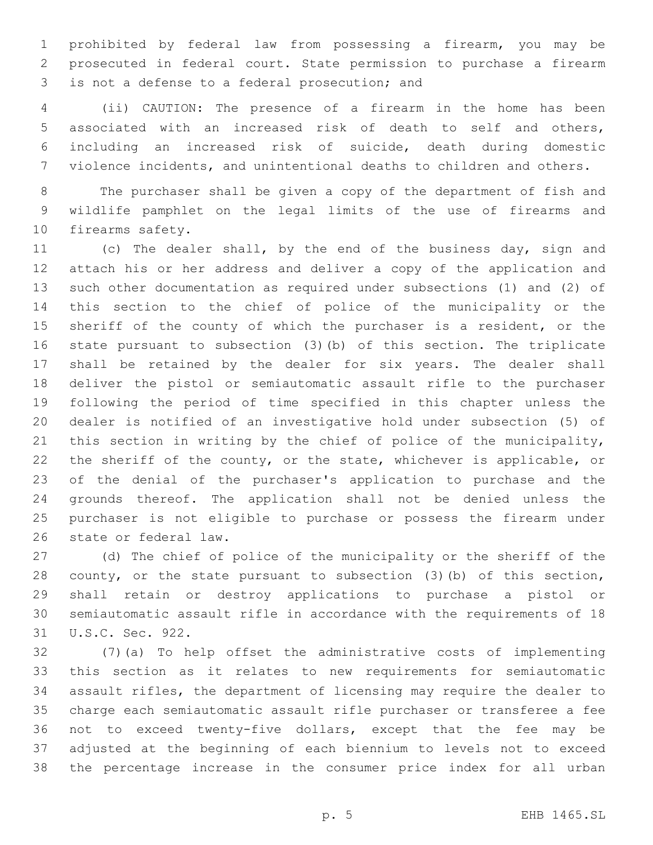prohibited by federal law from possessing a firearm, you may be prosecuted in federal court. State permission to purchase a firearm 3 is not a defense to a federal prosecution; and

 (ii) CAUTION: The presence of a firearm in the home has been associated with an increased risk of death to self and others, including an increased risk of suicide, death during domestic violence incidents, and unintentional deaths to children and others.

 The purchaser shall be given a copy of the department of fish and wildlife pamphlet on the legal limits of the use of firearms and 10 firearms safety.

 (c) The dealer shall, by the end of the business day, sign and attach his or her address and deliver a copy of the application and such other documentation as required under subsections (1) and (2) of this section to the chief of police of the municipality or the 15 sheriff of the county of which the purchaser is a resident, or the state pursuant to subsection (3)(b) of this section. The triplicate shall be retained by the dealer for six years. The dealer shall deliver the pistol or semiautomatic assault rifle to the purchaser following the period of time specified in this chapter unless the dealer is notified of an investigative hold under subsection (5) of this section in writing by the chief of police of the municipality, 22 the sheriff of the county, or the state, whichever is applicable, or of the denial of the purchaser's application to purchase and the grounds thereof. The application shall not be denied unless the purchaser is not eligible to purchase or possess the firearm under 26 state or federal law.

 (d) The chief of police of the municipality or the sheriff of the county, or the state pursuant to subsection (3)(b) of this section, shall retain or destroy applications to purchase a pistol or semiautomatic assault rifle in accordance with the requirements of 18 31 U.S.C. Sec. 922.

 (7)(a) To help offset the administrative costs of implementing this section as it relates to new requirements for semiautomatic assault rifles, the department of licensing may require the dealer to charge each semiautomatic assault rifle purchaser or transferee a fee not to exceed twenty-five dollars, except that the fee may be adjusted at the beginning of each biennium to levels not to exceed the percentage increase in the consumer price index for all urban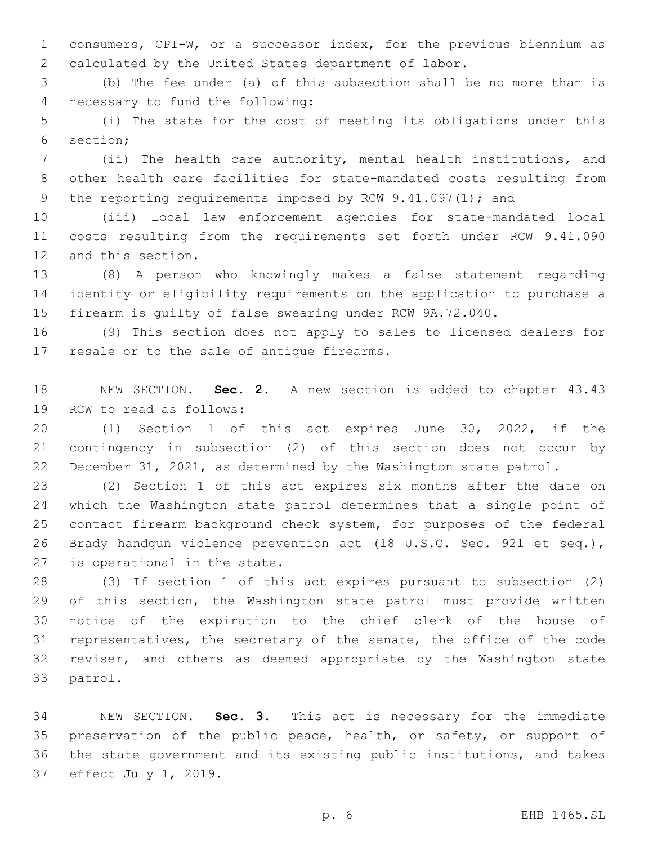consumers, CPI-W, or a successor index, for the previous biennium as calculated by the United States department of labor.

 (b) The fee under (a) of this subsection shall be no more than is 4 necessary to fund the following:

 (i) The state for the cost of meeting its obligations under this 6 section;

 (ii) The health care authority, mental health institutions, and other health care facilities for state-mandated costs resulting from 9 the reporting requirements imposed by RCW 9.41.097(1); and

 (iii) Local law enforcement agencies for state-mandated local costs resulting from the requirements set forth under RCW 9.41.090 12 and this section.

 (8) A person who knowingly makes a false statement regarding identity or eligibility requirements on the application to purchase a firearm is guilty of false swearing under RCW 9A.72.040.

 (9) This section does not apply to sales to licensed dealers for 17 resale or to the sale of antique firearms.

 NEW SECTION. **Sec. 2.** A new section is added to chapter 43.43 19 RCW to read as follows:

 (1) Section 1 of this act expires June 30, 2022, if the contingency in subsection (2) of this section does not occur by December 31, 2021, as determined by the Washington state patrol.

 (2) Section 1 of this act expires six months after the date on which the Washington state patrol determines that a single point of contact firearm background check system, for purposes of the federal Brady handgun violence prevention act (18 U.S.C. Sec. 921 et seq.), 27 is operational in the state.

 (3) If section 1 of this act expires pursuant to subsection (2) of this section, the Washington state patrol must provide written notice of the expiration to the chief clerk of the house of representatives, the secretary of the senate, the office of the code reviser, and others as deemed appropriate by the Washington state 33 patrol.

 NEW SECTION. **Sec. 3.** This act is necessary for the immediate preservation of the public peace, health, or safety, or support of the state government and its existing public institutions, and takes effect July 1, 2019.